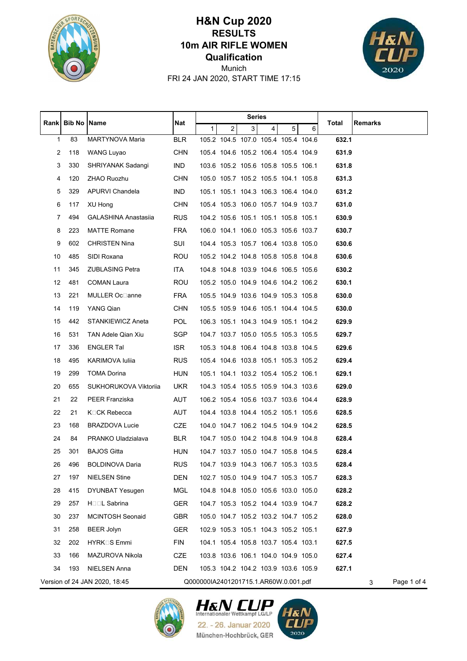

## **Qualification 10m AIR RIFLE WOMEN RESULTS H&N Cup 2020**



FRI 24 JAN 2020, START TIME 17:15 Munich

|    |                      |                               |            | Series                                |                |   |                                     |   |                                     |       |                  |
|----|----------------------|-------------------------------|------------|---------------------------------------|----------------|---|-------------------------------------|---|-------------------------------------|-------|------------------|
|    | Rank   Bib No   Name |                               | Nat        | $\mathbf{1}$                          | $\overline{c}$ | 3 | $\overline{\mathbf{4}}$             | 5 | 6                                   | Total | Remarks          |
| 1  | 83                   | MARTYNOVA Maria               | <b>BLR</b> |                                       |                |   | 105.2 104.5 107.0 105.4 105.4 104.6 |   |                                     | 632.1 |                  |
| 2  | 118                  | <b>WANG Luyao</b>             | <b>CHN</b> |                                       |                |   | 105.4 104.6 105.2 106.4 105.4 104.9 |   |                                     | 631.9 |                  |
| 3  | 330                  | SHRIYANAK Sadangi             | <b>IND</b> |                                       |                |   | 103.6 105.2 105.6 105.8 105.5 106.1 |   |                                     | 631.8 |                  |
| 4  | 120                  | ZHAO Ruozhu                   | <b>CHN</b> |                                       |                |   | 105.0 105.7 105.2 105.5 104.1 105.8 |   |                                     | 631.3 |                  |
| 5  | 329                  | APURVI Chandela               | <b>IND</b> |                                       |                |   | 105.1 105.1 104.3 106.3 106.4 104.0 |   |                                     | 631.2 |                  |
| 6  | 117                  | XU Hong                       | <b>CHN</b> |                                       |                |   | 105.4 105.3 106.0 105.7 104.9 103.7 |   |                                     | 631.0 |                  |
| 7  | 494                  | <b>GALASHINA Anastasiia</b>   | <b>RUS</b> |                                       |                |   | 104.2 105.6 105.1 105.1 105.8 105.1 |   |                                     | 630.9 |                  |
| 8  | 223                  | <b>MATTE Romane</b>           | <b>FRA</b> |                                       |                |   | 106.0 104.1 106.0 105.3 105.6 103.7 |   |                                     | 630.7 |                  |
| 9  | 602                  | <b>CHRISTEN Nina</b>          | SUI        |                                       |                |   | 104.4 105.3 105.7 106.4 103.8 105.0 |   |                                     | 630.6 |                  |
| 10 | 485                  | SIDI Roxana                   | <b>ROU</b> |                                       |                |   | 105.2 104.2 104.8 105.8 105.8 104.8 |   |                                     | 630.6 |                  |
| 11 | 345                  | <b>ZUBLASING Petra</b>        | <b>ITA</b> |                                       |                |   |                                     |   | 104.8 104.8 103.9 104.6 106.5 105.6 | 630.2 |                  |
| 12 | 481                  | <b>COMAN Laura</b>            | ROU        |                                       |                |   | 105.2 105.0 104.9 104.6 104.2 106.2 |   |                                     | 630.1 |                  |
| 13 | 221                  | <b>MULLER Oc</b> □anne        | <b>FRA</b> |                                       |                |   | 105.5 104.9 103.6 104.9 105.3 105.8 |   |                                     | 630.0 |                  |
| 14 | 119                  | YANG Qian                     | <b>CHN</b> |                                       |                |   |                                     |   | 105.5 105.9 104.6 105.1 104.4 104.5 | 630.0 |                  |
| 15 | 442                  | <b>STANKIEWICZ Aneta</b>      | <b>POL</b> |                                       |                |   | 106.3 105.1 104.3 104.9 105.1 104.2 |   |                                     | 629.9 |                  |
| 16 | 531                  | TAN Adele Qian Xiu            | SGP        |                                       |                |   | 104.7 103.7 105.0 105.5 105.3 105.5 |   |                                     | 629.7 |                  |
| 17 | 336                  | <b>ENGLER Tal</b>             | ISR.       |                                       |                |   |                                     |   | 105.3 104.8 106.4 104.8 103.8 104.5 | 629.6 |                  |
| 18 | 495                  | KARIMOVA Iuliia               | <b>RUS</b> |                                       |                |   | 105.4 104.6 103.8 105.1 105.3 105.2 |   |                                     | 629.4 |                  |
| 19 | 299                  | <b>TOMA Dorina</b>            | <b>HUN</b> |                                       |                |   | 105.1 104.1 103.2 105.4 105.2 106.1 |   |                                     | 629.1 |                  |
| 20 | 655                  | SUKHORUKOVA Viktorija         | <b>UKR</b> |                                       |                |   | 104.3 105.4 105.5 105.9 104.3 103.6 |   |                                     | 629.0 |                  |
| 21 | 22                   | PEER Franziska                | AUT        |                                       |                |   | 106.2 105.4 105.6 103.7 103.6 104.4 |   |                                     | 628.9 |                  |
| 22 | 21                   | K□CK Rebecca                  | AUT        |                                       |                |   | 104.4 103.8 104.4 105.2 105.1 105.6 |   |                                     | 628.5 |                  |
| 23 | 168                  | <b>BRAZDOVA Lucie</b>         | CZE        |                                       |                |   |                                     |   | 104.0 104.7 106.2 104.5 104.9 104.2 | 628.5 |                  |
| 24 | 84                   | PRANKO Uladzialava            | BLR.       |                                       |                |   | 104.7 105.0 104.2 104.8 104.9 104.8 |   |                                     | 628.4 |                  |
| 25 | 301                  | <b>BAJOS Gitta</b>            | <b>HUN</b> |                                       |                |   | 104.7 103.7 105.0 104.7 105.8 104.5 |   |                                     | 628.4 |                  |
| 26 | 496                  | <b>BOLDINOVA Daria</b>        | <b>RUS</b> |                                       |                |   | 104.7 103.9 104.3 106.7 105.3 103.5 |   |                                     | 628.4 |                  |
| 27 | 197                  | NIELSEN Stine                 | <b>DEN</b> |                                       |                |   | 102.7 105.0 104.9 104.7 105.3 105.7 |   |                                     | 628.3 |                  |
| 28 | 415                  | <b>DYUNBAT Yesugen</b>        | <b>MGL</b> |                                       |                |   | 104.8 104.8 105.0 105.6 103.0 105.0 |   |                                     | 628.2 |                  |
| 29 | 257                  | HooL Sabrina                  | GER        |                                       |                |   | 104.7 105.3 105.2 104.4 103.9 104.7 |   |                                     | 628.2 |                  |
| 30 | 237                  | <b>MCINTOSH Seonaid</b>       | <b>GBR</b> |                                       |                |   | 105.0 104.7 105.2 103.2 104.7 105.2 |   |                                     | 628.0 |                  |
| 31 | 258                  | <b>BEER Jolyn</b>             | <b>GER</b> |                                       |                |   | 102.9 105.3 105.1 104.3 105.2 105.1 |   |                                     | 627.9 |                  |
| 32 | 202                  | HYRK□S Emmi                   | <b>FIN</b> |                                       |                |   | 104.1 105.4 105.8 103.7 105.4 103.1 |   |                                     | 627.5 |                  |
| 33 | 166                  | MAZUROVA Nikola               | CZE        |                                       |                |   | 103.8 103.6 106.1 104.0 104.9 105.0 |   |                                     | 627.4 |                  |
| 34 | 193                  | NIELSEN Anna                  | <b>DEN</b> |                                       |                |   | 105.3 104.2 104.2 103.9 103.6 105.9 |   |                                     | 627.1 |                  |
|    |                      | Version of 24 JAN 2020, 18:45 |            | Q000000IA2401201715.1.AR60W.0.001.pdf |                |   |                                     |   |                                     |       | Page 1 of 4<br>3 |





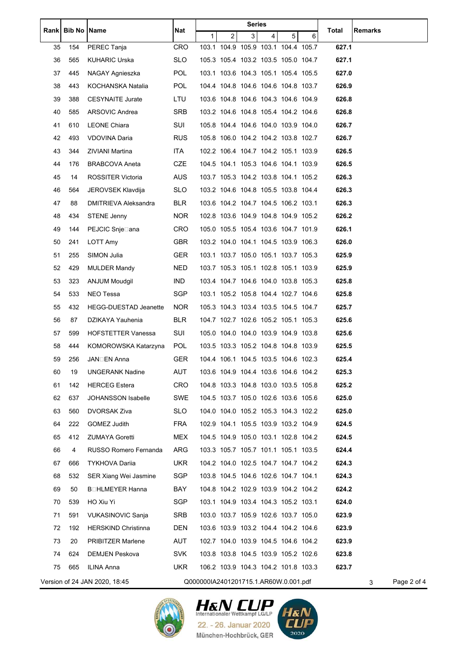|      | <b>Bib No Name</b> |                               | Nat        | <b>Series</b>                         |                                     |                |                |   |   |       |                  |
|------|--------------------|-------------------------------|------------|---------------------------------------|-------------------------------------|----------------|----------------|---|---|-------|------------------|
| Rank |                    |                               |            | 1                                     | $\overline{2}$                      | $\overline{3}$ | $\overline{4}$ | 5 | 6 | Total | Remarks          |
| 35   | 154                | PEREC Tanja                   | <b>CRO</b> |                                       | 103.1 104.9 105.9 103.1 104.4 105.7 |                |                |   |   | 627.1 |                  |
| 36   | 565                | <b>KUHARIC Urska</b>          | <b>SLO</b> |                                       | 105.3 105.4 103.2 103.5 105.0 104.7 |                |                |   |   | 627.1 |                  |
| 37   | 445                | NAGAY Agnieszka               | <b>POL</b> |                                       | 103.1 103.6 104.3 105.1 105.4 105.5 |                |                |   |   | 627.0 |                  |
| 38   | 443                | KOCHANSKA Natalia             | <b>POL</b> |                                       | 104.4 104.8 104.6 104.6 104.8 103.7 |                |                |   |   | 626.9 |                  |
| 39   | 388                | <b>CESYNAITE Jurate</b>       | LTU        |                                       | 103.6 104.8 104.6 104.3 104.6 104.9 |                |                |   |   | 626.8 |                  |
| 40   | 585                | ARSOVIC Andrea                | <b>SRB</b> |                                       | 103.2 104.6 104.8 105.4 104.2 104.6 |                |                |   |   | 626.8 |                  |
| 41   | 610                | <b>LEONE Chiara</b>           | SUI        |                                       | 105.8 104.4 104.6 104.0 103.9 104.0 |                |                |   |   | 626.7 |                  |
| 42   | 493                | VDOVINA Daria                 | <b>RUS</b> |                                       | 105.8 106.0 104.2 104.2 103.8 102.7 |                |                |   |   | 626.7 |                  |
| 43   | 344                | ZIVIANI Martina               | ITA.       |                                       | 102.2 106.4 104.7 104.2 105.1 103.9 |                |                |   |   | 626.5 |                  |
| 44   | 176                | <b>BRABCOVA Aneta</b>         | <b>CZE</b> |                                       | 104.5 104.1 105.3 104.6 104.1 103.9 |                |                |   |   | 626.5 |                  |
| 45   | 14                 | ROSSITER Victoria             | <b>AUS</b> |                                       | 103.7 105.3 104.2 103.8 104.1 105.2 |                |                |   |   | 626.3 |                  |
| 46   | 564                | JEROVSEK Klavdija             | SLO.       |                                       | 103.2 104.6 104.8 105.5 103.8 104.4 |                |                |   |   | 626.3 |                  |
| 47   | 88                 | DMITRIEVA Aleksandra          | <b>BLR</b> |                                       | 103.6 104.2 104.7 104.5 106.2 103.1 |                |                |   |   | 626.3 |                  |
| 48   | 434                | <b>STENE Jenny</b>            | <b>NOR</b> |                                       | 102.8 103.6 104.9 104.8 104.9 105.2 |                |                |   |   | 626.2 |                  |
| 49   | 144                | PEJCIC Snje⊡ana               | CRO        |                                       | 105.0 105.5 105.4 103.6 104.7 101.9 |                |                |   |   | 626.1 |                  |
| 50   | 241                | LOTT Amy                      | <b>GBR</b> |                                       | 103.2 104.0 104.1 104.5 103.9 106.3 |                |                |   |   | 626.0 |                  |
| 51   | 255                | SIMON Julia                   | <b>GER</b> |                                       | 103.1 103.7 105.0 105.1 103.7 105.3 |                |                |   |   | 625.9 |                  |
| 52   | 429                | MULDER Mandy                  | <b>NED</b> |                                       | 103.7 105.3 105.1 102.8 105.1 103.9 |                |                |   |   | 625.9 |                  |
| 53   | 323                | ANJUM Moudgil                 | IND.       |                                       | 103.4 104.7 104.6 104.0 103.8 105.3 |                |                |   |   | 625.8 |                  |
| 54   | 533                | NEO Tessa                     | <b>SGP</b> |                                       | 103.1 105.2 105.8 104.4 102.7 104.6 |                |                |   |   | 625.8 |                  |
| 55   | 432                | <b>HEGG-DUESTAD Jeanette</b>  | <b>NOR</b> |                                       | 105.3 104.3 103.4 103.5 104.5 104.7 |                |                |   |   | 625.7 |                  |
| 56   | 87                 | DZIKAYA Yauhenia              | <b>BLR</b> |                                       | 104.7 102.7 102.6 105.2 105.1 105.3 |                |                |   |   | 625.6 |                  |
| 57   | 599                | <b>HOFSTETTER Vanessa</b>     | SUI        |                                       | 105.0 104.0 104.0 103.9 104.9 103.8 |                |                |   |   | 625.6 |                  |
| 58   | 444                | KOMOROWSKA Katarzyna          | POL        |                                       | 103.5 103.3 105.2 104.8 104.8 103.9 |                |                |   |   | 625.5 |                  |
| 59   | 256                | JAN⊟EN Anna                   | <b>GER</b> |                                       | 104.4 106.1 104.5 103.5 104.6 102.3 |                |                |   |   | 625.4 |                  |
| 60   | 19                 | <b>UNGERANK Nadine</b>        | <b>AUT</b> |                                       | 103.6 104.9 104.4 103.6 104.6 104.2 |                |                |   |   | 625.3 |                  |
| 61   | 142                | <b>HERCEG Estera</b>          | <b>CRO</b> |                                       | 104.8 103.3 104.8 103.0 103.5 105.8 |                |                |   |   | 625.2 |                  |
| 62   | 637                | JOHANSSON Isabelle            | <b>SWE</b> |                                       | 104.5 103.7 105.0 102.6 103.6 105.6 |                |                |   |   | 625.0 |                  |
| 63   | 560                | DVORSAK Ziva                  | <b>SLO</b> |                                       | 104.0 104.0 105.2 105.3 104.3 102.2 |                |                |   |   | 625.0 |                  |
| 64   | 222                | GOMEZ Judith                  | <b>FRA</b> |                                       | 102.9 104.1 105.5 103.9 103.2 104.9 |                |                |   |   | 624.5 |                  |
| 65   | 412                | ZUMAYA Goretti                | MEX        |                                       | 104.5 104.9 105.0 103.1 102.8 104.2 |                |                |   |   | 624.5 |                  |
| 66   | 4                  | RUSSO Romero Fernanda         | ARG        |                                       | 103.3 105.7 105.7 101.1 105.1 103.5 |                |                |   |   | 624.4 |                  |
| 67   | 666                | <b>TYKHOVA Dariia</b>         | UKR.       |                                       | 104.2 104.0 102.5 104.7 104.7 104.2 |                |                |   |   | 624.3 |                  |
| 68   | 532                | SER Xiang Wei Jasmine         | SGP        |                                       | 103.8 104.5 104.6 102.6 104.7 104.1 |                |                |   |   | 624.3 |                  |
| 69   | 50                 |                               | BAY        |                                       | 104.8 104.2 102.9 103.9 104.2 104.2 |                |                |   |   | 624.2 |                  |
| 70   | 539                | HO Xiu Yi                     | <b>SGP</b> |                                       | 103.1 104.9 103.4 104.3 105.2 103.1 |                |                |   |   | 624.0 |                  |
| 71   | 591                | VUKASINOVIC Sanja             | <b>SRB</b> |                                       | 103.0 103.7 105.9 102.6 103.7 105.0 |                |                |   |   | 623.9 |                  |
| 72   | 192                | <b>HERSKIND Christinna</b>    | <b>DEN</b> |                                       | 103.6 103.9 103.2 104.4 104.2 104.6 |                |                |   |   | 623.9 |                  |
| 73   | 20                 | PRIBITZER Marlene             | AUT        |                                       | 102.7 104.0 103.9 104.5 104.6 104.2 |                |                |   |   | 623.9 |                  |
| 74   | 624                | <b>DEMJEN Peskova</b>         | <b>SVK</b> |                                       | 103.8 103.8 104.5 103.9 105.2 102.6 |                |                |   |   | 623.8 |                  |
| 75   | 665                | ILINA Anna                    | <b>UKR</b> |                                       | 106.2 103.9 104.3 104.2 101.8 103.3 |                |                |   |   | 623.7 |                  |
|      |                    | Version of 24 JAN 2020, 18:45 |            | Q000000IA2401201715.1.AR60W.0.001.pdf |                                     |                |                |   |   |       | Page 2 of 4<br>3 |





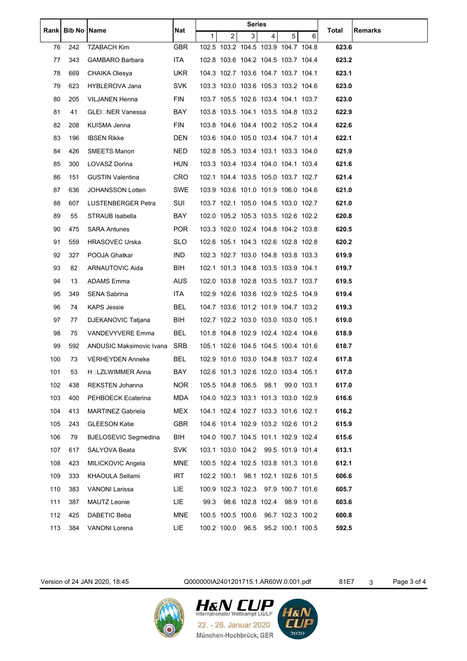|       | <b>Bib No Name</b> |                             | Nat        | <b>Series</b> |                                     |      |                        |                  |            |       |                |
|-------|--------------------|-----------------------------|------------|---------------|-------------------------------------|------|------------------------|------------------|------------|-------|----------------|
| Rankl |                    |                             |            | 1             | $\overline{c}$                      | 3    | $\overline{4}$         | 5                | 6          | Total | <b>Remarks</b> |
| 76    | 242                | <b>TZABACH Kim</b>          | <b>GBR</b> |               | 102.5 103.2 104.5 103.9 104.7 104.8 |      |                        |                  |            | 623.6 |                |
| 77    | 343                | <b>GAMBARO Barbara</b>      | ITA.       |               | 102.8 103.6 104.2 104.5 103.7 104.4 |      |                        |                  |            | 623.2 |                |
| 78    | 669                | CHAIKA Olesya               | UKR.       |               | 104.3 102.7 103.6 104.7 103.7 104.1 |      |                        |                  |            | 623.1 |                |
| 79    | 623                | HYBLEROVA Jana              | SVK.       |               | 103.3 103.0 103.6 105.3 103.2 104.6 |      |                        |                  |            | 623.0 |                |
| 80    | 205                | VILJANEN Henna              | FIN        |               | 103.7 105.5 102.6 103.4 104.1 103.7 |      |                        |                  |            | 623.0 |                |
| 81    | 41                 | GLEI□NER Vanessa            | BAY        |               | 103.8 103.5 104.1 103.5 104.8 103.2 |      |                        |                  |            | 622.9 |                |
| 82    | 208                | KUISMA Jenna                | FIN        |               | 103.8 104.6 104.4 100.2 105.2 104.4 |      |                        |                  |            | 622.6 |                |
| 83    | 196                | <b>IBSEN Rikke</b>          | DEN        |               | 103.6 104.0 105.0 103.4 104.7 101.4 |      |                        |                  |            | 622.1 |                |
| 84    | 426                | SMEETS Manon                | <b>NED</b> |               | 102.8 105.3 103.4 103.1 103.3 104.0 |      |                        |                  |            | 621.9 |                |
| 85    | 300                | LOVASZ Dorina               | <b>HUN</b> |               | 103.3 103.4 103.4 104.0 104.1 103.4 |      |                        |                  |            | 621.6 |                |
| 86    | 151                | <b>GUSTIN Valentina</b>     | <b>CRO</b> |               | 102.1 104.4 103.5 105.0 103.7 102.7 |      |                        |                  |            | 621.4 |                |
| 87    | 636                | JOHANSSON Lotten            | <b>SWE</b> |               | 103.9 103.6 101.0 101.9 106.0 104.6 |      |                        |                  |            | 621.0 |                |
| 88    | 607                | LUSTENBERGER Petra          | SUI        |               | 103.7 102.1 105.0 104.5 103.0 102.7 |      |                        |                  |            | 621.0 |                |
| 89    | 55                 | STRAUB Isabella             | BAY        |               | 102.0 105.2 105.3 103.5 102.6 102.2 |      |                        |                  |            | 620.8 |                |
| 90    | 475                | <b>SARA Antunes</b>         | POR        |               | 103.3 102.0 102.4 104.8 104.2 103.8 |      |                        |                  |            | 620.5 |                |
| 91    | 559                | <b>HRASOVEC Urska</b>       | <b>SLO</b> |               | 102.6 105.1 104.3 102.6 102.8 102.8 |      |                        |                  |            | 620.2 |                |
| 92    | 327                | POOJA Ghatkar               | <b>IND</b> |               | 102.3 102.7 103.0 104.8 103.8 103.3 |      |                        |                  |            | 619.9 |                |
| 93    | 82                 | ARNAUTOVIC Aida             | BIH        |               | 102.1 101.3 104.8 103.5 103.9 104.1 |      |                        |                  |            | 619.7 |                |
| 94    | 13                 | ADAMS Emma                  | <b>AUS</b> |               | 102.0 103.8 102.8 103.5 103.7 103.7 |      |                        |                  |            | 619.5 |                |
| 95    | 349                | SENA Sabrina                | ITA        |               | 102.9 102.6 103.6 102.9 102.5 104.9 |      |                        |                  |            | 619.4 |                |
| 96    | 74                 | KAPS Jessie                 | BEL        |               | 104.7 103.6 101.2 101.9 104.7 103.2 |      |                        |                  |            | 619.3 |                |
| 97    | 77                 | DJEKANOVIC Tatjana          | BIH        |               | 102.7 102.2 103.0 103.0 103.0 105.1 |      |                        |                  |            | 619.0 |                |
| 98    | 75                 | <b>VANDEVYVERE Emma</b>     | BEL        |               | 101.8 104.8 102.9 102.4 102.4 104.6 |      |                        |                  |            | 618.9 |                |
| 99    | 592                | ANDUSIC Maksimovic Ivana    | <b>SRB</b> |               | 105.1 102.6 104.5 104.5 100.4 101.6 |      |                        |                  |            | 618.7 |                |
| 100   | 73                 | <b>VERHEYDEN Anneke</b>     | BEL        |               | 102.9 101.0 103.0 104.8 103.7 102.4 |      |                        |                  |            | 617.8 |                |
| 101   | 53                 | H□LZLWIMMER Anna            | BAY        |               | 102.6 101.3 102.6 102.0 103.4 105.1 |      |                        |                  |            | 617.0 |                |
| 102   | 438                | <b>REKSTEN Johanna</b>      | <b>NOR</b> |               | 105.5 104.8 106.5                   |      | 98.1                   |                  | 99.0 103.1 | 617.0 |                |
| 103   | 400                | PEHBOECK Ecaterina          | <b>MDA</b> |               | 104.0 102.3 103.1 101.3 103.0 102.9 |      |                        |                  |            | 616.6 |                |
| 104   | 413                | <b>MARTINEZ Gabriela</b>    | <b>MEX</b> |               | 104.1 102.4 102.7 103.3 101.6 102.1 |      |                        |                  |            | 616.2 |                |
| 105   | 243                | <b>GLEESON Katie</b>        | <b>GBR</b> |               | 104.6 101.4 102.9 103.2 102.6 101.2 |      |                        |                  |            | 615.9 |                |
| 106   | 79                 | <b>BJELOSEVIC Segmedina</b> | BIH        |               | 104.0 100.7 104.5 101.1 102.9 102.4 |      |                        |                  |            | 615.6 |                |
| 107   | 617                | SALYOVA Beata               | <b>SVK</b> |               | 103.1 103.0 104.2 99.5 101.9 101.4  |      |                        |                  |            | 613.1 |                |
| 108   | 423                | MILICKOVIC Angela           | <b>MNE</b> |               | 100.5 102.4 102.5 103.8 101.3 101.6 |      |                        |                  |            | 612.1 |                |
| 109   | 333                | KHAOULA Sellami             | <b>IRT</b> |               | 102.2 100.1                         |      | 98.1 102.1 102.6 101.5 |                  |            | 606.6 |                |
| 110   | 383                | <b>VANONI Larissa</b>       | LIE        |               | 100.9 102.3 102.3                   |      |                        | 97.9 100.7 101.6 |            | 605.7 |                |
| 111   | 387                | MAUTZ Leonie                | LIE        | 99.3          |                                     |      | 98.6 102.8 102.4       |                  | 98.9 101.6 | 603.6 |                |
| 112   | 425                | DABETIC Beba                | <b>MNE</b> |               | 100.5 100.5 100.6                   |      |                        | 96.7 102.3 100.2 |            | 600.8 |                |
| 113   | 384                | <b>VANONI Lorena</b>        | LIE        |               | 100.2 100.0                         | 96.5 |                        | 95.2 100.1 100.5 |            | 592.5 |                |
|       |                    |                             |            |               |                                     |      |                        |                  |            |       |                |

Version of 24 JAN 2020, 18:45 Q000000IA2401201715.1.AR60W.0.001.pdf 81E7 3 Page 3 of 4